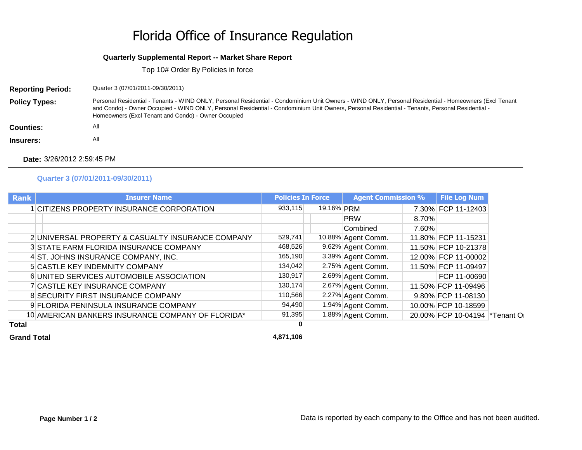## Florida Office of Insurance Regulation

## **Quarterly Supplemental Report -- Market Share Report**

Top 10# Order By Policies in force

**Reporting Period:** Quarter 3 (07/01/2011-09/30/2011)

Policy Types: Personal Residential - Tenants - WIND ONLY, Personal Residential - Condominium Unit Owners - WIND ONLY, Personal Residential - Homeowners (Excl Tenant and Condo) - Owner Occupied - WIND ONLY, Personal Residential - Condominium Unit Owners, Personal Residential - Tenants, Personal Residential - Homeowners (Excl Tenant and Condo) - Owner Occupied

**Insurers:** All

**Date:** 3/26/2012 2:59:45 PM

**Counties:** All

## **Quarter 3 (07/01/2011-09/30/2011)**

| <b>Rank</b> | <b>Insurer Name</b>                               | <b>Policies In Force</b> |            | <b>Agent Commission %</b> |       | <b>File Log Num</b>           |  |
|-------------|---------------------------------------------------|--------------------------|------------|---------------------------|-------|-------------------------------|--|
|             | 1 CITIZENS PROPERTY INSURANCE CORPORATION         | 933,115                  | 19.16% PRM |                           |       | 7.30% FCP 11-12403            |  |
|             |                                                   |                          |            | <b>PRW</b>                | 8.70% |                               |  |
|             |                                                   |                          |            | Combined                  | 7.60% |                               |  |
|             | 2 UNIVERSAL PROPERTY & CASUALTY INSURANCE COMPANY | 529,741                  |            | 10.88% Agent Comm.        |       | 11.80% FCP 11-15231           |  |
|             | 3 STATE FARM FLORIDA INSURANCE COMPANY            | 468,526                  |            | 9.62% Agent Comm.         |       | 11.50% FCP 10-21378           |  |
|             | 4 ST. JOHNS INSURANCE COMPANY, INC.               | 165,190                  |            | 3.39% Agent Comm.         |       | 12.00% FCP 11-00002           |  |
|             | 5 CASTLE KEY INDEMNITY COMPANY                    | 134,042                  |            | 2.75% Agent Comm.         |       | 11.50% FCP 11-09497           |  |
|             | 6 UNITED SERVICES AUTOMOBILE ASSOCIATION          | 130,917                  |            | 2.69% Agent Comm.         |       | FCP 11-00690                  |  |
|             | 7 CASTLE KEY INSURANCE COMPANY                    | 130,174                  |            | 2.67% Agent Comm.         |       | 11.50% FCP 11-09496           |  |
|             | 8 SECURITY FIRST INSURANCE COMPANY                | 110,566                  |            | 2.27% Agent Comm.         |       | 9.80% FCP 11-08130            |  |
|             | 9 FLORIDA PENINSULA INSURANCE COMPANY             | 94,490                   |            | 1.94% Agent Comm.         |       | 10.00% FCP 10-18599           |  |
|             | 10 AMERICAN BANKERS INSURANCE COMPANY OF FLORIDA* | 91,395                   |            | 1.88% Agent Comm.         |       | 20.00% FCP 10-04194 *Tenant O |  |
| Total       |                                                   | 0                        |            |                           |       |                               |  |

**Grand Total**

**4,871,106**